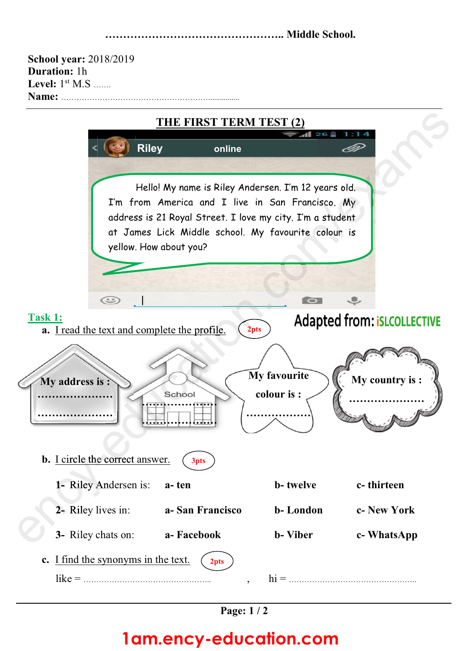**………………………………………….. Middle School.**

| <b>School year: 2018/2019</b>            |        |  |  |  |  |  |
|------------------------------------------|--------|--|--|--|--|--|
| <b>Duration: 1h</b>                      |        |  |  |  |  |  |
| Level: $1st M.S$                         |        |  |  |  |  |  |
| Name:                                    |        |  |  |  |  |  |
| THE FIRST TERM TEST (2)<br>$26 \pm 1.14$ |        |  |  |  |  |  |
| <b>Riley</b>                             | online |  |  |  |  |  |





## **1am.ency-education.com**